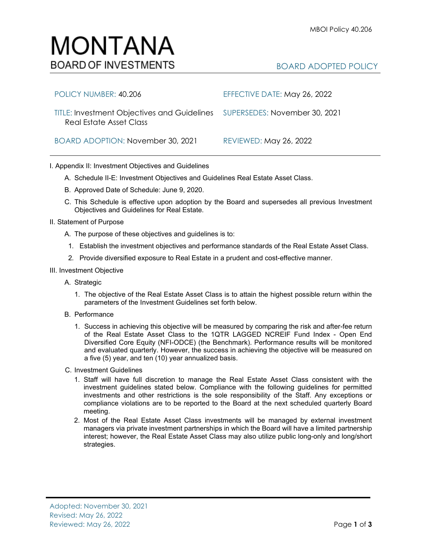BOARD ADOPTED POLICY

## BOARD ADOPTION: November 30, 2021 REVIEWED: May 26, 2022 I. Appendix II: Investment Objectives and Guidelines A. Schedule II-E: Investment Objectives and Guidelines Real Estate Asset Class.

Real Estate Asset Class

MONTANA

**BOARD OF INVESTMENTS** 

- B. Approved Date of Schedule: June 9, 2020.
- C. This Schedule is effective upon adoption by the Board and supersedes all previous Investment Objectives and Guidelines for Real Estate.
- II. Statement of Purpose
	- A. The purpose of these objectives and guidelines is to:
	- 1. Establish the investment objectives and performance standards of the Real Estate Asset Class.
	- 2. Provide diversified exposure to Real Estate in a prudent and cost-effective manner.

POLICY NUMBER: 40.206 EFFECTIVE DATE: May 26, 2022

TITLE: Investment Objectives and Guidelines SUPERSEDES: November 30, 2021

## III. Investment Objective

- A. Strategic
	- 1. The objective of the Real Estate Asset Class is to attain the highest possible return within the parameters of the Investment Guidelines set forth below.
- B. Performance
	- 1. Success in achieving this objective will be measured by comparing the risk and after-fee return of the Real Estate Asset Class to the 1QTR LAGGED NCREIF Fund Index - Open End Diversified Core Equity (NFI-ODCE) (the Benchmark). Performance results will be monitored and evaluated quarterly. However, the success in achieving the objective will be measured on a five (5) year, and ten (10) year annualized basis.
- C. Investment Guidelines
	- 1. Staff will have full discretion to manage the Real Estate Asset Class consistent with the investment guidelines stated below. Compliance with the following guidelines for permitted investments and other restrictions is the sole responsibility of the Staff. Any exceptions or compliance violations are to be reported to the Board at the next scheduled quarterly Board meeting.
	- 2. Most of the Real Estate Asset Class investments will be managed by external investment managers via private investment partnerships in which the Board will have a limited partnership interest; however, the Real Estate Asset Class may also utilize public long-only and long/short strategies.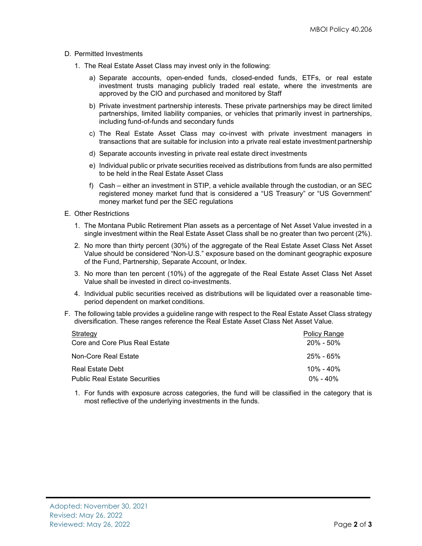- D. Permitted Investments
	- 1. The Real Estate Asset Class may invest only in the following:
		- a) Separate accounts, open-ended funds, closed-ended funds, ETFs, or real estate investment trusts managing publicly traded real estate, where the investments are approved by the CIO and purchased and monitored by Staff
		- b) Private investment partnership interests. These private partnerships may be direct limited partnerships, limited liability companies, or vehicles that primarily invest in partnerships, including fund-of-funds and secondary funds
		- c) The Real Estate Asset Class may co-invest with private investment managers in transactions that are suitable for inclusion into a private real estate investment partnership
		- d) Separate accounts investing in private real estate direct investments
		- e) Individual public or private securities received as distributions from funds are also permitted to be held in the Real Estate Asset Class
		- f) Cash either an investment in STIP, a vehicle available through the custodian, or an SEC registered money market fund that is considered a "US Treasury" or "US Government" money market fund per the SEC regulations
- E. Other Restrictions
	- 1. The Montana Public Retirement Plan assets as a percentage of Net Asset Value invested in a single investment within the Real Estate Asset Class shall be no greater than two percent (2%).
	- 2. No more than thirty percent (30%) of the aggregate of the Real Estate Asset Class Net Asset Value should be considered "Non-U.S." exposure based on the dominant geographic exposure of the Fund, Partnership, Separate Account, or Index.
	- 3. No more than ten percent (10%) of the aggregate of the Real Estate Asset Class Net Asset Value shall be invested in direct co-investments.
	- 4. Individual public securities received as distributions will be liquidated over a reasonable timeperiod dependent on market conditions.
- F. The following table provides a guideline range with respect to the Real Estate Asset Class strategy diversification. These ranges reference the Real Estate Asset Class Net Asset Value.

| Strategy                             | <b>Policy Range</b> |
|--------------------------------------|---------------------|
| Core and Core Plus Real Estate       | $20\% - 50\%$       |
| Non-Core Real Estate                 | $25\%$ - 65%        |
| Real Estate Debt                     | $10\% - 40\%$       |
| <b>Public Real Estate Securities</b> | $0\% - 40\%$        |

1. For funds with exposure across categories, the fund will be classified in the category that is most reflective of the underlying investments in the funds.